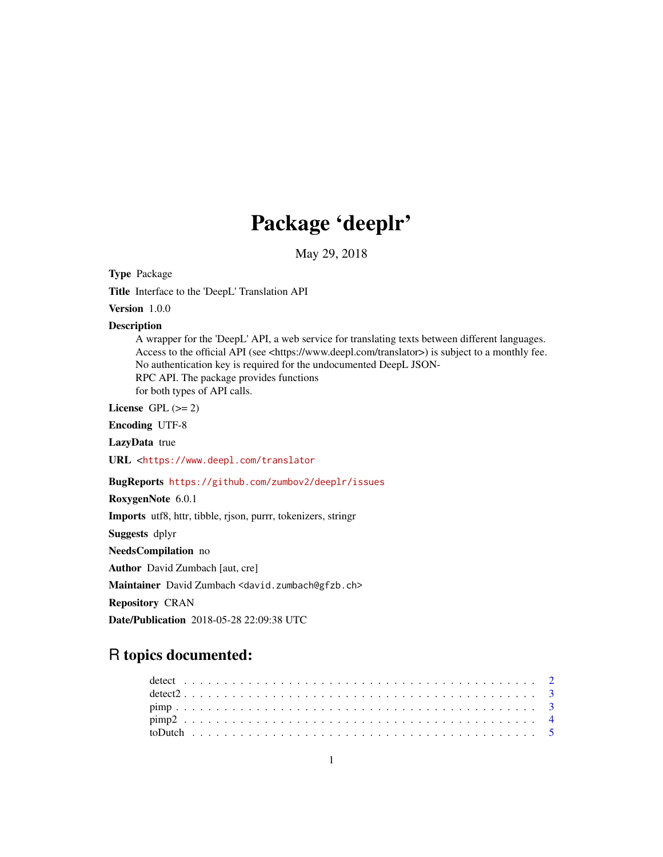## Package 'deeplr'

May 29, 2018

Type Package

Title Interface to the 'DeepL' Translation API

Version 1.0.0

#### Description

A wrapper for the 'DeepL' API, a web service for translating texts between different languages. Access to the official API (see <https://www.deepl.com/translator>) is subject to a monthly fee. No authentication key is required for the undocumented DeepL JSON-RPC API. The package provides functions for both types of API calls.

License GPL  $(>= 2)$ 

Encoding UTF-8

LazyData true

URL <<https://www.deepl.com/translator>

BugReports <https://github.com/zumbov2/deeplr/issues>

RoxygenNote 6.0.1

Imports utf8, httr, tibble, rjson, purrr, tokenizers, stringr

Suggests dplyr

NeedsCompilation no

Author David Zumbach [aut, cre]

Maintainer David Zumbach <david.zumbach@gfzb.ch>

Repository CRAN

Date/Publication 2018-05-28 22:09:38 UTC

## R topics documented: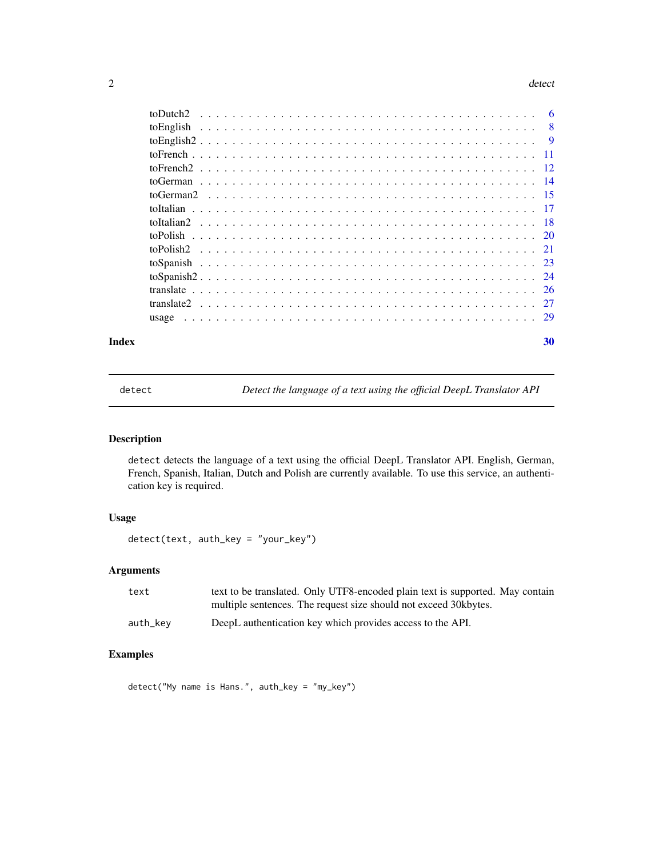#### <span id="page-1-0"></span>2 detect and  $\alpha$  detect and  $\alpha$  detect and  $\alpha$  detect and  $\alpha$  detect and  $\alpha$  detect and  $\alpha$  detect and  $\alpha$  detect and  $\alpha$  detect and  $\alpha$  detect and  $\alpha$  detect and  $\alpha$  detect and  $\alpha$  detect and  $\alpha$  detect and

| $\overline{8}$ |  |
|----------------|--|
|                |  |
|                |  |
|                |  |
|                |  |
|                |  |
|                |  |
|                |  |
|                |  |
|                |  |
|                |  |
|                |  |
|                |  |
|                |  |
|                |  |
|                |  |

## $\bf 30$  $\bf 30$

detect *Detect the language of a text using the official DeepL Translator API*

## Description

detect detects the language of a text using the official DeepL Translator API. English, German, French, Spanish, Italian, Dutch and Polish are currently available. To use this service, an authentication key is required.

## Usage

```
detect(text, auth_key = "your_key")
```
## Arguments

| text     | text to be translated. Only UTF8-encoded plain text is supported. May contain |
|----------|-------------------------------------------------------------------------------|
|          | multiple sentences. The request size should not exceed 30 kbytes.             |
| auth_kev | DeepL authentication key which provides access to the API.                    |

## Examples

detect("My name is Hans.", auth\_key = "my\_key")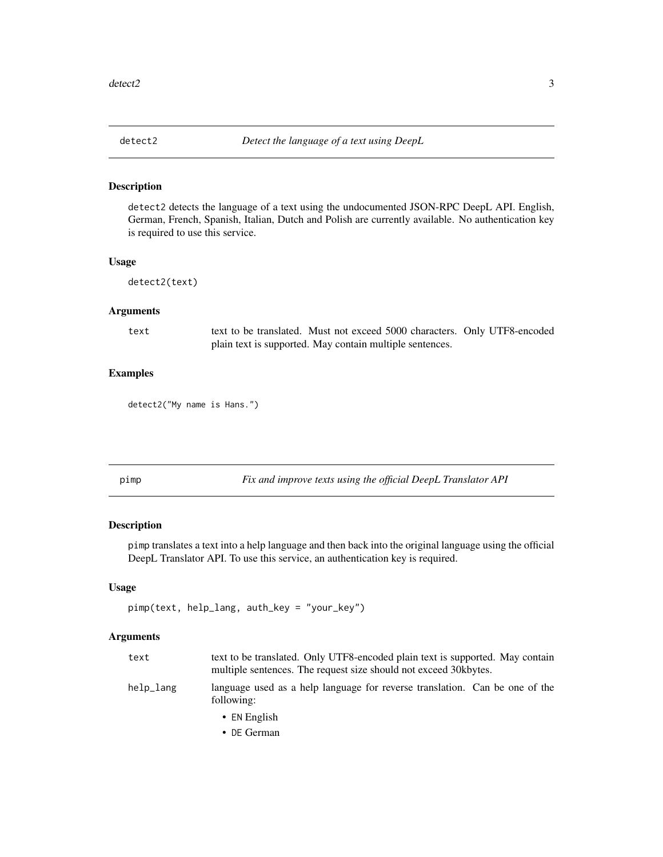<span id="page-2-0"></span>

detect2 detects the language of a text using the undocumented JSON-RPC DeepL API. English, German, French, Spanish, Italian, Dutch and Polish are currently available. No authentication key is required to use this service.

## Usage

```
detect2(text)
```
### Arguments

text text to be translated. Must not exceed 5000 characters. Only UTF8-encoded plain text is supported. May contain multiple sentences.

#### Examples

detect2("My name is Hans.")

pimp *Fix and improve texts using the official DeepL Translator API*

#### Description

pimp translates a text into a help language and then back into the original language using the official DeepL Translator API. To use this service, an authentication key is required.

#### Usage

```
pimp(text, help_lang, auth_key = "your_key")
```

| text      | text to be translated. Only UTF8-encoded plain text is supported. May contain<br>multiple sentences. The request size should not exceed 30 kbytes. |
|-----------|----------------------------------------------------------------------------------------------------------------------------------------------------|
| help_lang | language used as a help language for reverse translation. Can be one of the<br>following:                                                          |
|           | • EN English                                                                                                                                       |
|           | • DE German                                                                                                                                        |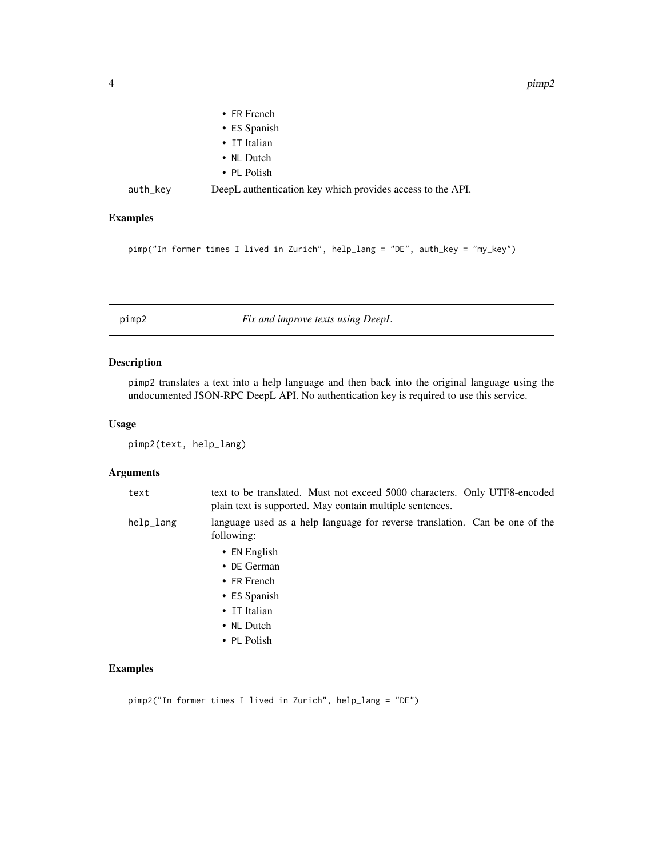<span id="page-3-0"></span>

|          | $\bullet$ FR French                                        |
|----------|------------------------------------------------------------|
|          | • ES Spanish                                               |
|          | • IT Italian                                               |
|          | • NL Dutch                                                 |
|          | • PL Polish                                                |
| auth_key | DeepL authentication key which provides access to the API. |

## Examples

```
pimp("In former times I lived in Zurich", help_lang = "DE", auth_key = "my_key")
```
pimp2 *Fix and improve texts using DeepL*

## Description

pimp2 translates a text into a help language and then back into the original language using the undocumented JSON-RPC DeepL API. No authentication key is required to use this service.

## Usage

pimp2(text, help\_lang)

## Arguments

| text      | text to be translated. Must not exceed 5000 characters. Only UTF8-encoded<br>plain text is supported. May contain multiple sentences. |
|-----------|---------------------------------------------------------------------------------------------------------------------------------------|
| help_lang | language used as a help language for reverse translation. Can be one of the<br>following:                                             |
|           | $\bullet$ EN English                                                                                                                  |
|           | $\bullet$ DE German                                                                                                                   |
|           | $\bullet$ FR French                                                                                                                   |
|           | $\cdot$ ES Spanish                                                                                                                    |
|           | • IT Italian                                                                                                                          |
|           | • NL Dutch                                                                                                                            |
|           | • PL Polish                                                                                                                           |

## Examples

pimp2("In former times I lived in Zurich", help\_lang = "DE")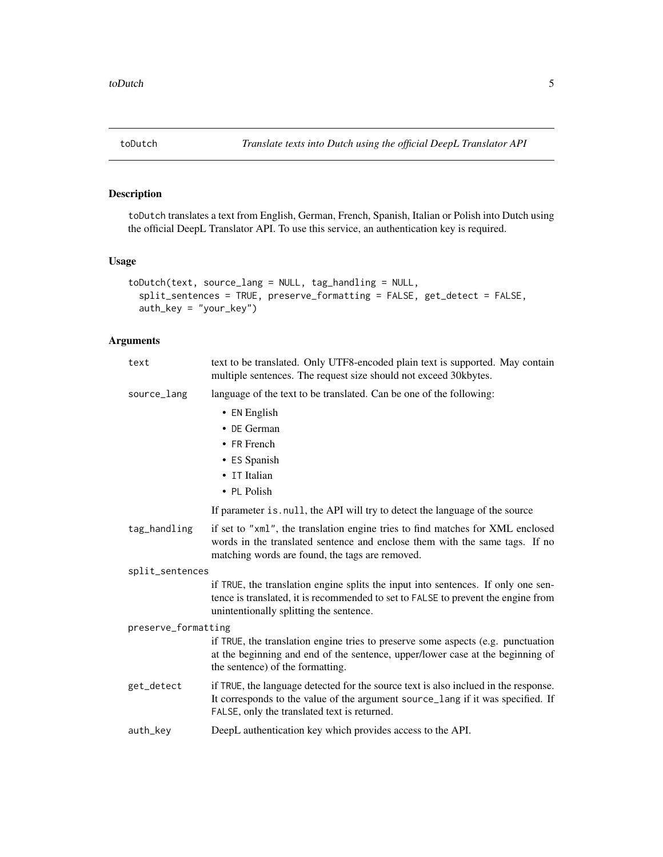<span id="page-4-0"></span>

toDutch translates a text from English, German, French, Spanish, Italian or Polish into Dutch using the official DeepL Translator API. To use this service, an authentication key is required.

## Usage

```
toDutch(text, source_lang = NULL, tag_handling = NULL,
  split_sentences = TRUE, preserve_formatting = FALSE, get_detect = FALSE,
  auth_key = "your_key")
```

| text                | text to be translated. Only UTF8-encoded plain text is supported. May contain<br>multiple sentences. The request size should not exceed 30kbytes.                                                                      |
|---------------------|------------------------------------------------------------------------------------------------------------------------------------------------------------------------------------------------------------------------|
| source_lang         | language of the text to be translated. Can be one of the following:                                                                                                                                                    |
|                     | • EN English                                                                                                                                                                                                           |
|                     | • DE German                                                                                                                                                                                                            |
|                     | • FR French                                                                                                                                                                                                            |
|                     | • ES Spanish                                                                                                                                                                                                           |
|                     | • IT Italian                                                                                                                                                                                                           |
|                     | • PL Polish                                                                                                                                                                                                            |
|                     | If parameter is null, the API will try to detect the language of the source                                                                                                                                            |
| tag_handling        | if set to "xml", the translation engine tries to find matches for XML enclosed<br>words in the translated sentence and enclose them with the same tags. If no<br>matching words are found, the tags are removed.       |
| split_sentences     |                                                                                                                                                                                                                        |
|                     | if TRUE, the translation engine splits the input into sentences. If only one sen-<br>tence is translated, it is recommended to set to FALSE to prevent the engine from<br>unintentionally splitting the sentence.      |
| preserve_formatting |                                                                                                                                                                                                                        |
|                     | if TRUE, the translation engine tries to preserve some aspects (e.g. punctuation<br>at the beginning and end of the sentence, upper/lower case at the beginning of<br>the sentence) of the formatting.                 |
| get_detect          | if TRUE, the language detected for the source text is also inclued in the response.<br>It corresponds to the value of the argument source_lang if it was specified. If<br>FALSE, only the translated text is returned. |
| auth_key            | DeepL authentication key which provides access to the API.                                                                                                                                                             |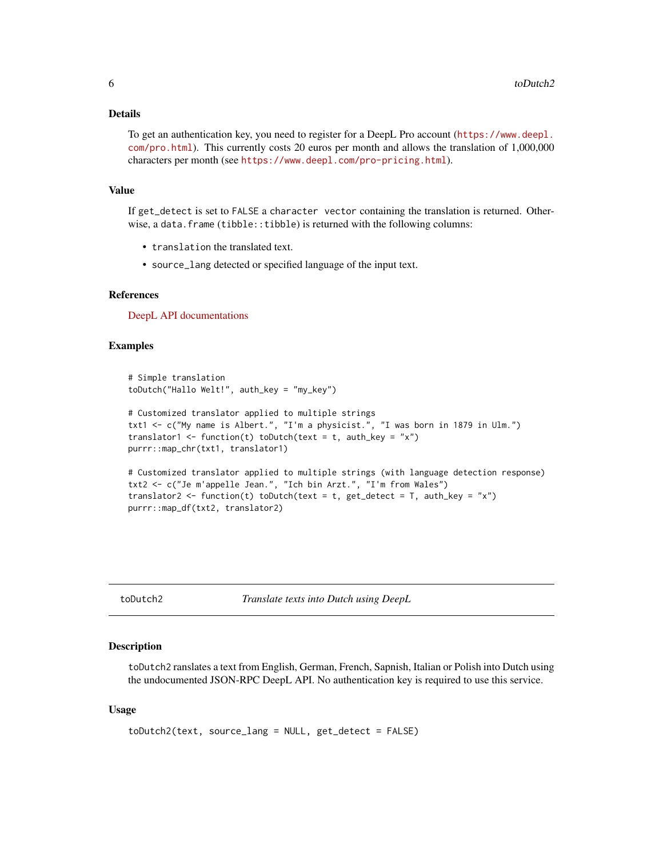#### <span id="page-5-0"></span>Details

To get an authentication key, you need to register for a DeepL Pro account ([https://www.deepl.](https://www.deepl.com/pro.html) [com/pro.html](https://www.deepl.com/pro.html)). This currently costs 20 euros per month and allows the translation of 1,000,000 characters per month (see <https://www.deepl.com/pro-pricing.html>).

## Value

If get\_detect is set to FALSE a character vector containing the translation is returned. Otherwise, a data.frame (tibble::tibble) is returned with the following columns:

- translation the translated text.
- source\_lang detected or specified language of the input text.

#### References

[DeepL API documentations](https://www.deepl.com/api.html)

### Examples

```
# Simple translation
toDutch("Hallo Welt!", auth_key = "my_key")
# Customized translator applied to multiple strings
txt1 <- c("My name is Albert.", "I'm a physicist.", "I was born in 1879 in Ulm.")
translator1 <- function(t) toDutch(text = t, auth_key = "x")
purrr::map_chr(txt1, translator1)
# Customized translator applied to multiple strings (with language detection response)
txt2 <- c("Je m'appelle Jean.", "Ich bin Arzt.", "I'm from Wales")
translator2 <- function(t) toDutch(text = t, get_detect = T, auth_key = "x")
purrr::map_df(txt2, translator2)
```
toDutch2 *Translate texts into Dutch using DeepL*

#### Description

toDutch2 ranslates a text from English, German, French, Sapnish, Italian or Polish into Dutch using the undocumented JSON-RPC DeepL API. No authentication key is required to use this service.

```
toDutch2(text, source_lang = NULL, get_detect = FALSE)
```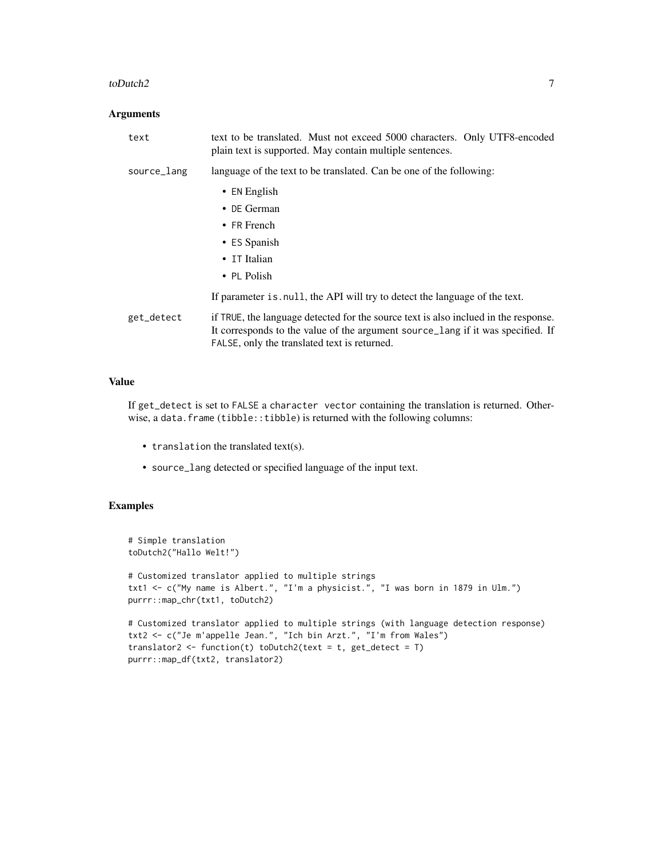#### toDutch2 7

#### Arguments

| text        | text to be translated. Must not exceed 5000 characters. Only UTF8-encoded<br>plain text is supported. May contain multiple sentences.                                                                                  |
|-------------|------------------------------------------------------------------------------------------------------------------------------------------------------------------------------------------------------------------------|
| source_lang | language of the text to be translated. Can be one of the following:                                                                                                                                                    |
|             | $\bullet$ EN English                                                                                                                                                                                                   |
|             | $\bullet$ DE German                                                                                                                                                                                                    |
|             | • FR French                                                                                                                                                                                                            |
|             | • ES Spanish                                                                                                                                                                                                           |
|             | • IT Italian                                                                                                                                                                                                           |
|             | $\cdot$ PL Polish                                                                                                                                                                                                      |
|             | If parameter is null, the API will try to detect the language of the text.                                                                                                                                             |
| get_detect  | if TRUE, the language detected for the source text is also inclued in the response.<br>It corresponds to the value of the argument source lang if it was specified. If<br>FALSE, only the translated text is returned. |

## Value

If get\_detect is set to FALSE a character vector containing the translation is returned. Otherwise, a data.frame (tibble::tibble) is returned with the following columns:

- translation the translated text(s).
- source\_lang detected or specified language of the input text.

```
# Simple translation
toDutch2("Hallo Welt!")
# Customized translator applied to multiple strings
txt1 <- c("My name is Albert.", "I'm a physicist.", "I was born in 1879 in Ulm.")
purrr::map_chr(txt1, toDutch2)
# Customized translator applied to multiple strings (with language detection response)
txt2 <- c("Je m'appelle Jean.", "Ich bin Arzt.", "I'm from Wales")
translator2 <- function(t) toDutch2(text = t, get_detect = T)
purrr::map_df(txt2, translator2)
```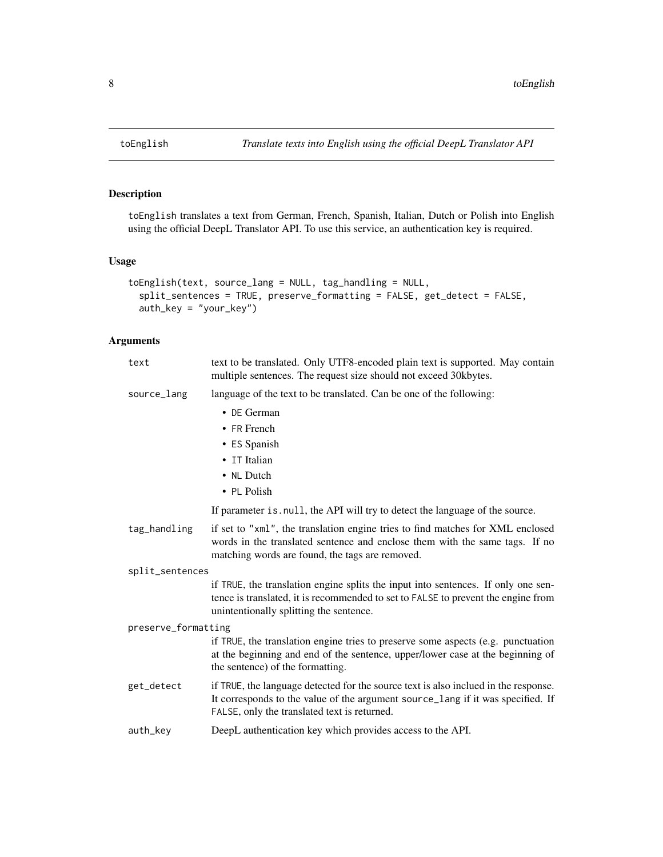toEnglish translates a text from German, French, Spanish, Italian, Dutch or Polish into English using the official DeepL Translator API. To use this service, an authentication key is required.

## Usage

```
toEnglish(text, source_lang = NULL, tag_handling = NULL,
  split_sentences = TRUE, preserve_formatting = FALSE, get_detect = FALSE,
  auth_key = "your_key")
```

| text                | text to be translated. Only UTF8-encoded plain text is supported. May contain<br>multiple sentences. The request size should not exceed 30kbytes.                                                                      |
|---------------------|------------------------------------------------------------------------------------------------------------------------------------------------------------------------------------------------------------------------|
| source_lang         | language of the text to be translated. Can be one of the following:                                                                                                                                                    |
|                     | $\bullet$ DE German                                                                                                                                                                                                    |
|                     | • FR French                                                                                                                                                                                                            |
|                     | • ES Spanish                                                                                                                                                                                                           |
|                     | • IT Italian                                                                                                                                                                                                           |
|                     | • NL Dutch                                                                                                                                                                                                             |
|                     | • PL Polish                                                                                                                                                                                                            |
|                     | If parameter is . null, the API will try to detect the language of the source.                                                                                                                                         |
| tag_handling        | if set to "xml", the translation engine tries to find matches for XML enclosed<br>words in the translated sentence and enclose them with the same tags. If no<br>matching words are found, the tags are removed.       |
| split_sentences     |                                                                                                                                                                                                                        |
|                     | if TRUE, the translation engine splits the input into sentences. If only one sen-<br>tence is translated, it is recommended to set to FALSE to prevent the engine from<br>unintentionally splitting the sentence.      |
| preserve_formatting |                                                                                                                                                                                                                        |
|                     | if TRUE, the translation engine tries to preserve some aspects (e.g. punctuation<br>at the beginning and end of the sentence, upper/lower case at the beginning of<br>the sentence) of the formatting.                 |
| get_detect          | if TRUE, the language detected for the source text is also inclued in the response.<br>It corresponds to the value of the argument source_lang if it was specified. If<br>FALSE, only the translated text is returned. |
| auth_key            | DeepL authentication key which provides access to the API.                                                                                                                                                             |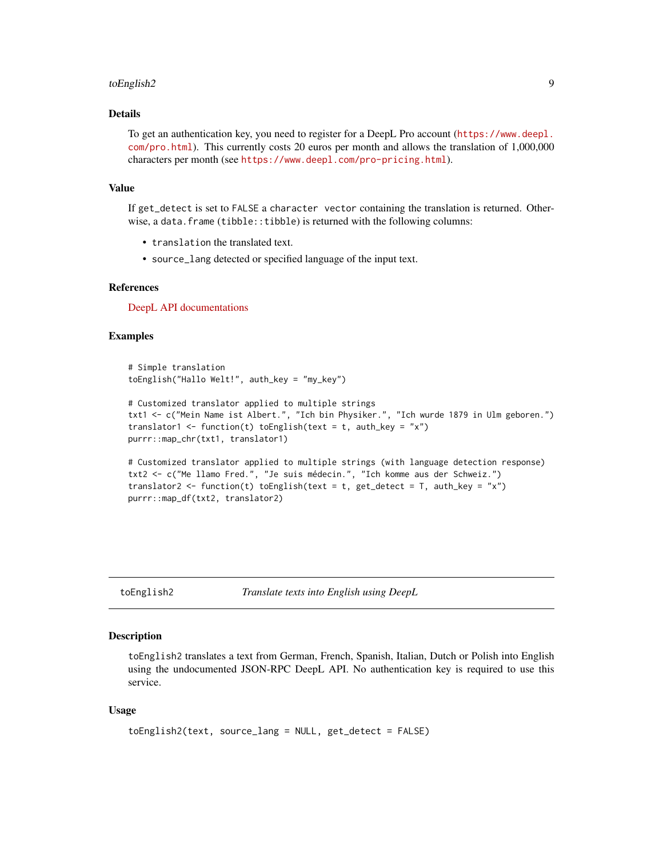#### <span id="page-8-0"></span>toEnglish2 9

## Details

To get an authentication key, you need to register for a DeepL Pro account ([https://www.deepl.](https://www.deepl.com/pro.html) [com/pro.html](https://www.deepl.com/pro.html)). This currently costs 20 euros per month and allows the translation of 1,000,000 characters per month (see <https://www.deepl.com/pro-pricing.html>).

#### Value

If get\_detect is set to FALSE a character vector containing the translation is returned. Otherwise, a data.frame (tibble::tibble) is returned with the following columns:

- translation the translated text.
- source\_lang detected or specified language of the input text.

#### References

[DeepL API documentations](https://www.deepl.com/api.html)

#### Examples

```
# Simple translation
toEnglish("Hallo Welt!", auth_key = "my_key")
```

```
# Customized translator applied to multiple strings
txt1 <- c("Mein Name ist Albert.", "Ich bin Physiker.", "Ich wurde 1879 in Ulm geboren.")
translator1 <- function(t) toEnglish(text = t, auth_key = "x")
purrr::map_chr(txt1, translator1)
```

```
# Customized translator applied to multiple strings (with language detection response)
txt2 <- c("Me llamo Fred.", "Je suis médecin.", "Ich komme aus der Schweiz.")
translator2 <- function(t) toEnglish(text = t, get_detect = T, auth_key = "x")
purrr::map_df(txt2, translator2)
```
toEnglish2 *Translate texts into English using DeepL*

#### Description

toEnglish2 translates a text from German, French, Spanish, Italian, Dutch or Polish into English using the undocumented JSON-RPC DeepL API. No authentication key is required to use this service.

```
toEnglish2(text, source_lang = NULL, get_detect = FALSE)
```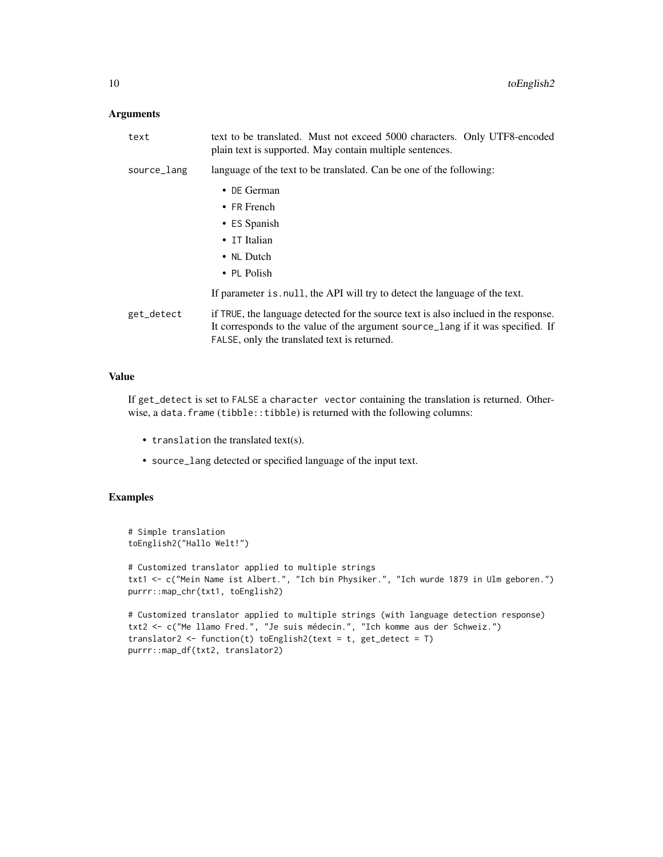## Arguments

| text        | text to be translated. Must not exceed 5000 characters. Only UTF8-encoded<br>plain text is supported. May contain multiple sentences.                                                                                  |
|-------------|------------------------------------------------------------------------------------------------------------------------------------------------------------------------------------------------------------------------|
| source_lang | language of the text to be translated. Can be one of the following:                                                                                                                                                    |
|             | • DE German<br>$\bullet$ FR French<br>• ES Spanish<br>• IT Italian<br>• NL Dutch<br>$\cdot$ PL Polish                                                                                                                  |
|             | If parameter is null, the API will try to detect the language of the text.                                                                                                                                             |
| get_detect  | if TRUE, the language detected for the source text is also inclued in the response.<br>It corresponds to the value of the argument source_lang if it was specified. If<br>FALSE, only the translated text is returned. |

## Value

If get\_detect is set to FALSE a character vector containing the translation is returned. Otherwise, a data.frame (tibble::tibble) is returned with the following columns:

- translation the translated text(s).
- source\_lang detected or specified language of the input text.

```
# Simple translation
toEnglish2("Hallo Welt!")
# Customized translator applied to multiple strings
txt1 <- c("Mein Name ist Albert.", "Ich bin Physiker.", "Ich wurde 1879 in Ulm geboren.")
purrr::map_chr(txt1, toEnglish2)
# Customized translator applied to multiple strings (with language detection response)
txt2 <- c("Me llamo Fred.", "Je suis médecin.", "Ich komme aus der Schweiz.")
translator2 <- function(t) toEnglish2(text = t, get_detect = T)
purrr::map_df(txt2, translator2)
```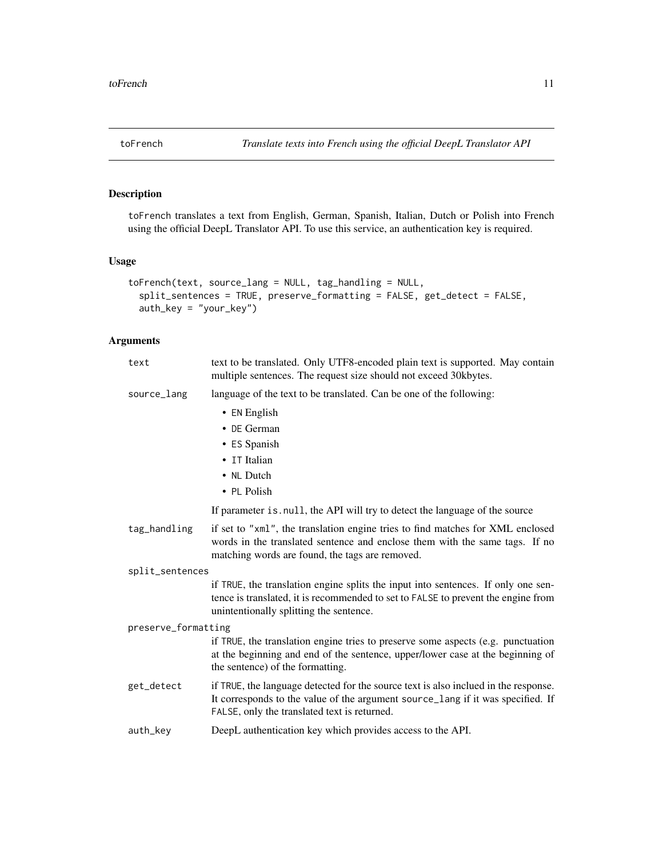<span id="page-10-0"></span>

toFrench translates a text from English, German, Spanish, Italian, Dutch or Polish into French using the official DeepL Translator API. To use this service, an authentication key is required.

## Usage

```
toFrench(text, source_lang = NULL, tag_handling = NULL,
  split_sentences = TRUE, preserve_formatting = FALSE, get_detect = FALSE,
  auth_key = "your_key")
```

| text                | text to be translated. Only UTF8-encoded plain text is supported. May contain<br>multiple sentences. The request size should not exceed 30kbytes.                                                                      |
|---------------------|------------------------------------------------------------------------------------------------------------------------------------------------------------------------------------------------------------------------|
| source_lang         | language of the text to be translated. Can be one of the following:                                                                                                                                                    |
|                     | • EN English                                                                                                                                                                                                           |
|                     | • DE German                                                                                                                                                                                                            |
|                     | • ES Spanish                                                                                                                                                                                                           |
|                     | • IT Italian                                                                                                                                                                                                           |
|                     | • NL Dutch                                                                                                                                                                                                             |
|                     | • PL Polish                                                                                                                                                                                                            |
|                     | If parameter is null, the API will try to detect the language of the source                                                                                                                                            |
| tag_handling        | if set to "xml", the translation engine tries to find matches for XML enclosed<br>words in the translated sentence and enclose them with the same tags. If no<br>matching words are found, the tags are removed.       |
| split_sentences     |                                                                                                                                                                                                                        |
|                     | if TRUE, the translation engine splits the input into sentences. If only one sen-<br>tence is translated, it is recommended to set to FALSE to prevent the engine from<br>unintentionally splitting the sentence.      |
| preserve_formatting |                                                                                                                                                                                                                        |
|                     | if TRUE, the translation engine tries to preserve some aspects (e.g. punctuation<br>at the beginning and end of the sentence, upper/lower case at the beginning of<br>the sentence) of the formatting.                 |
| get_detect          | if TRUE, the language detected for the source text is also inclued in the response.<br>It corresponds to the value of the argument source_lang if it was specified. If<br>FALSE, only the translated text is returned. |
| auth_key            | DeepL authentication key which provides access to the API.                                                                                                                                                             |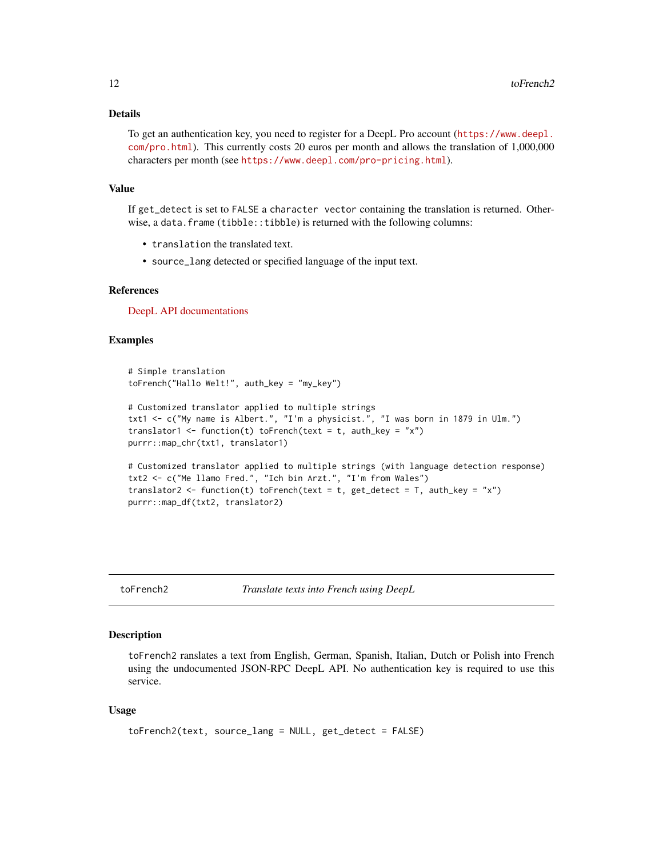## <span id="page-11-0"></span>Details

To get an authentication key, you need to register for a DeepL Pro account ([https://www.deepl.](https://www.deepl.com/pro.html) [com/pro.html](https://www.deepl.com/pro.html)). This currently costs 20 euros per month and allows the translation of 1,000,000 characters per month (see <https://www.deepl.com/pro-pricing.html>).

#### Value

If get\_detect is set to FALSE a character vector containing the translation is returned. Otherwise, a data.frame (tibble::tibble) is returned with the following columns:

- translation the translated text.
- source\_lang detected or specified language of the input text.

#### References

[DeepL API documentations](https://www.deepl.com/api.html)

#### Examples

```
# Simple translation
toFrench("Hallo Welt!", auth_key = "my_key")
# Customized translator applied to multiple strings
txt1 <- c("My name is Albert.", "I'm a physicist.", "I was born in 1879 in Ulm.")
translator1 <- function(t) toFrench(text = t, auth_key = "x")
purrr::map_chr(txt1, translator1)
# Customized translator applied to multiple strings (with language detection response)
txt2 <- c("Me llamo Fred.", "Ich bin Arzt.", "I'm from Wales")
translator2 <- function(t) toFrench(text = t, get_detect = T, auth_key = "x")
purrr::map_df(txt2, translator2)
```
toFrench2 *Translate texts into French using DeepL*

#### Description

toFrench2 ranslates a text from English, German, Spanish, Italian, Dutch or Polish into French using the undocumented JSON-RPC DeepL API. No authentication key is required to use this service.

```
toFrench2(text, source_lang = NULL, get_detect = FALSE)
```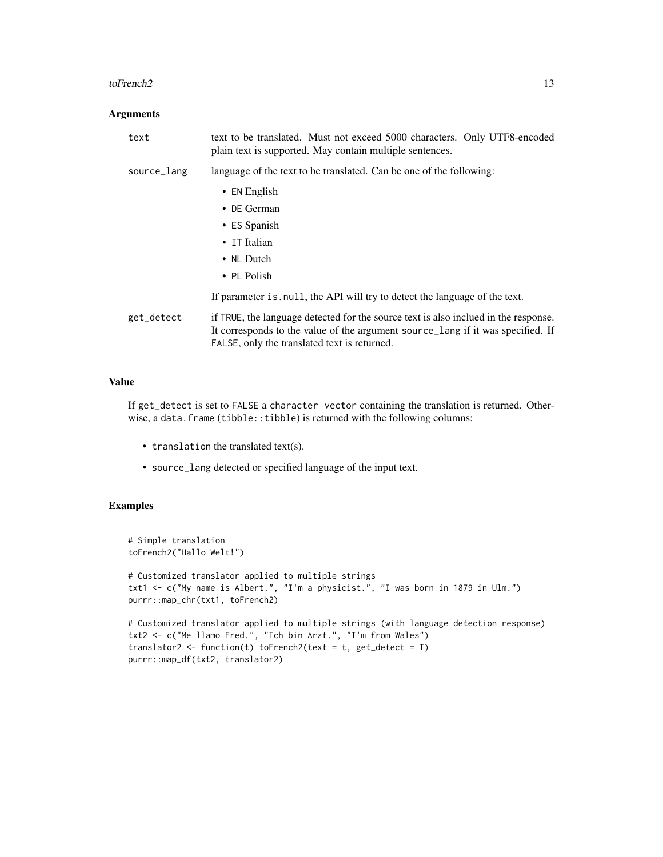#### toFrench2 13

## Arguments

| text        | text to be translated. Must not exceed 5000 characters. Only UTF8-encoded<br>plain text is supported. May contain multiple sentences.                                                                                  |
|-------------|------------------------------------------------------------------------------------------------------------------------------------------------------------------------------------------------------------------------|
| source_lang | language of the text to be translated. Can be one of the following:                                                                                                                                                    |
|             | $\bullet$ EN English                                                                                                                                                                                                   |
|             | $\bullet$ DE German                                                                                                                                                                                                    |
|             | • ES Spanish                                                                                                                                                                                                           |
|             | • IT Italian                                                                                                                                                                                                           |
|             | • NL Dutch                                                                                                                                                                                                             |
|             | $\cdot$ PL Polish                                                                                                                                                                                                      |
|             | If parameter is null, the API will try to detect the language of the text.                                                                                                                                             |
| get_detect  | if TRUE, the language detected for the source text is also inclued in the response.<br>It corresponds to the value of the argument source lang if it was specified. If<br>FALSE, only the translated text is returned. |

## Value

If get\_detect is set to FALSE a character vector containing the translation is returned. Otherwise, a data.frame (tibble::tibble) is returned with the following columns:

- translation the translated text(s).
- source\_lang detected or specified language of the input text.

```
# Simple translation
toFrench2("Hallo Welt!")
# Customized translator applied to multiple strings
txt1 <- c("My name is Albert.", "I'm a physicist.", "I was born in 1879 in Ulm.")
purrr::map_chr(txt1, toFrench2)
# Customized translator applied to multiple strings (with language detection response)
txt2 <- c("Me llamo Fred.", "Ich bin Arzt.", "I'm from Wales")
translator2 <- function(t) toFrench2(text = t, get_detect = T)
purrr::map_df(txt2, translator2)
```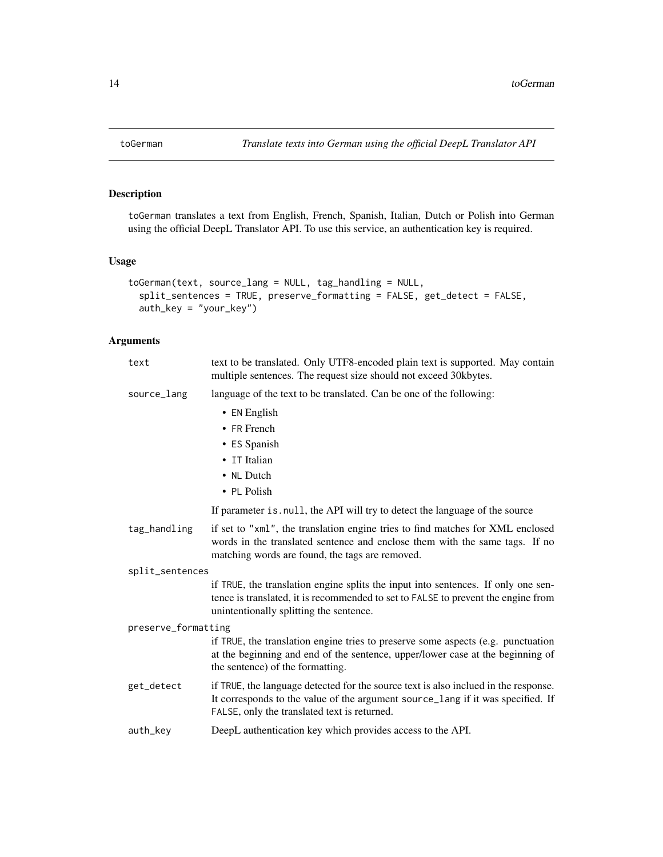<span id="page-13-0"></span>

toGerman translates a text from English, French, Spanish, Italian, Dutch or Polish into German using the official DeepL Translator API. To use this service, an authentication key is required.

## Usage

```
toGerman(text, source_lang = NULL, tag_handling = NULL,
  split_sentences = TRUE, preserve_formatting = FALSE, get_detect = FALSE,
  auth_key = "your_key")
```

| text                | text to be translated. Only UTF8-encoded plain text is supported. May contain<br>multiple sentences. The request size should not exceed 30kbytes.                                                                      |
|---------------------|------------------------------------------------------------------------------------------------------------------------------------------------------------------------------------------------------------------------|
| source_lang         | language of the text to be translated. Can be one of the following:                                                                                                                                                    |
|                     | • EN English                                                                                                                                                                                                           |
|                     | • FR French                                                                                                                                                                                                            |
|                     | • ES Spanish                                                                                                                                                                                                           |
|                     | • IT Italian                                                                                                                                                                                                           |
|                     | • NL Dutch                                                                                                                                                                                                             |
|                     | • PL Polish                                                                                                                                                                                                            |
|                     | If parameter is null, the API will try to detect the language of the source                                                                                                                                            |
| tag_handling        | if set to "xml", the translation engine tries to find matches for XML enclosed<br>words in the translated sentence and enclose them with the same tags. If no<br>matching words are found, the tags are removed.       |
| split_sentences     |                                                                                                                                                                                                                        |
|                     | if TRUE, the translation engine splits the input into sentences. If only one sen-<br>tence is translated, it is recommended to set to FALSE to prevent the engine from<br>unintentionally splitting the sentence.      |
| preserve_formatting |                                                                                                                                                                                                                        |
|                     | if TRUE, the translation engine tries to preserve some aspects (e.g. punctuation<br>at the beginning and end of the sentence, upper/lower case at the beginning of<br>the sentence) of the formatting.                 |
| get_detect          | if TRUE, the language detected for the source text is also inclued in the response.<br>It corresponds to the value of the argument source_lang if it was specified. If<br>FALSE, only the translated text is returned. |
| auth_key            | DeepL authentication key which provides access to the API.                                                                                                                                                             |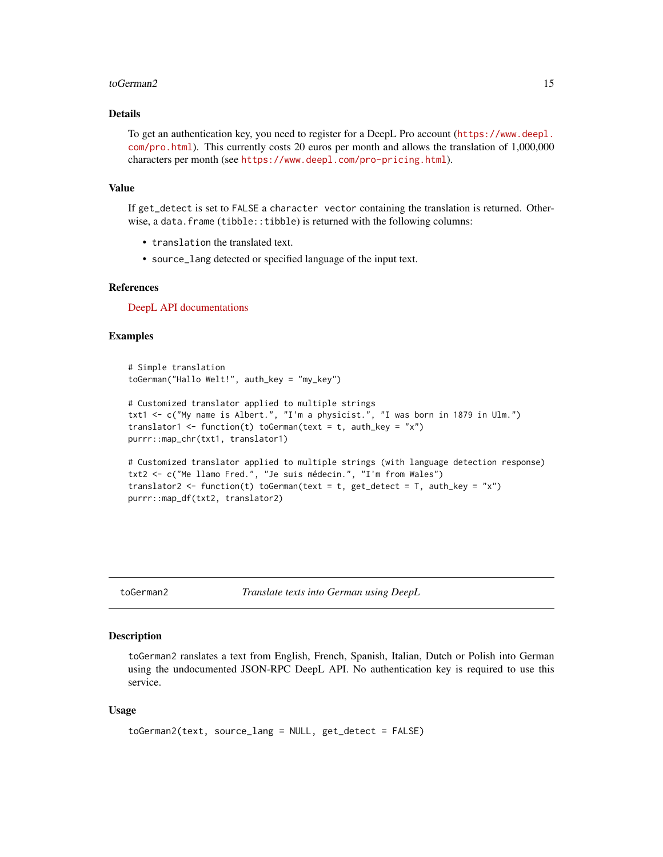#### <span id="page-14-0"></span>toGerman2 15

## Details

To get an authentication key, you need to register for a DeepL Pro account ([https://www.deepl.](https://www.deepl.com/pro.html) [com/pro.html](https://www.deepl.com/pro.html)). This currently costs 20 euros per month and allows the translation of 1,000,000 characters per month (see <https://www.deepl.com/pro-pricing.html>).

#### Value

If get\_detect is set to FALSE a character vector containing the translation is returned. Otherwise, a data.frame (tibble::tibble) is returned with the following columns:

- translation the translated text.
- source\_lang detected or specified language of the input text.

#### References

[DeepL API documentations](https://www.deepl.com/api.html)

#### Examples

```
# Simple translation
toGerman("Hallo Welt!", auth_key = "my_key")
```

```
# Customized translator applied to multiple strings
txt1 <- c("My name is Albert.", "I'm a physicist.", "I was born in 1879 in Ulm.")
translator1 <- function(t) toGerman(text = t, auth_key = "x")
purrr::map_chr(txt1, translator1)
```

```
# Customized translator applied to multiple strings (with language detection response)
txt2 <- c("Me llamo Fred.", "Je suis médecin.", "I'm from Wales")
translator2 <- function(t) toGerman(text = t, get_detect = T, auth_key = "x")
purrr::map_df(txt2, translator2)
```
toGerman2 *Translate texts into German using DeepL*

#### Description

toGerman2 ranslates a text from English, French, Spanish, Italian, Dutch or Polish into German using the undocumented JSON-RPC DeepL API. No authentication key is required to use this service.

```
toGerman2(text, source_lang = NULL, get_detect = FALSE)
```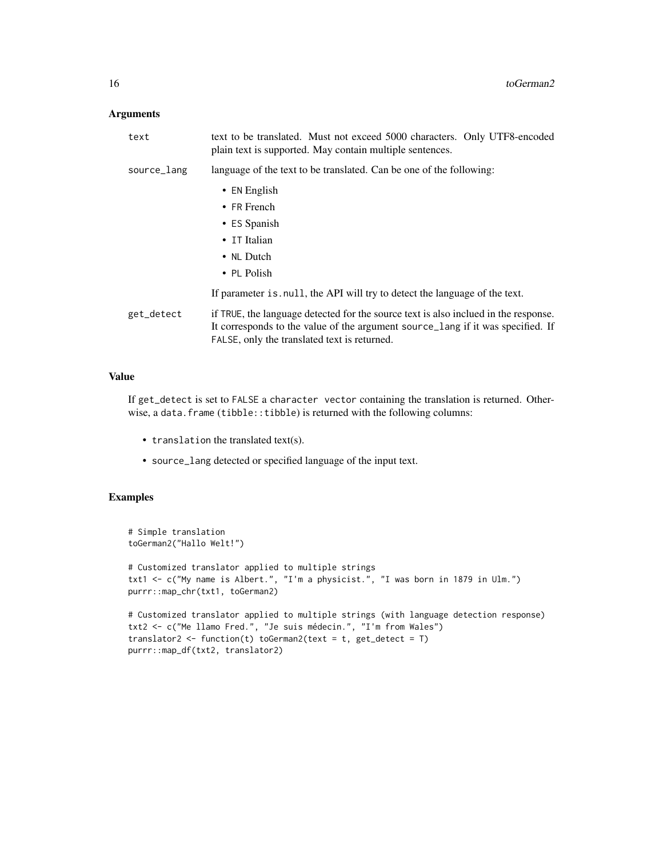## Arguments

| text        | text to be translated. Must not exceed 5000 characters. Only UTF8-encoded<br>plain text is supported. May contain multiple sentences.                                                                                  |
|-------------|------------------------------------------------------------------------------------------------------------------------------------------------------------------------------------------------------------------------|
| source_lang | language of the text to be translated. Can be one of the following:                                                                                                                                                    |
|             | $\bullet$ EN English<br>$\bullet$ FR French                                                                                                                                                                            |
|             | • ES Spanish                                                                                                                                                                                                           |
|             | • IT Italian                                                                                                                                                                                                           |
|             | • NL Dutch                                                                                                                                                                                                             |
|             | • PL Polish                                                                                                                                                                                                            |
|             | If parameter is null, the API will try to detect the language of the text.                                                                                                                                             |
| get_detect  | if TRUE, the language detected for the source text is also inclued in the response.<br>It corresponds to the value of the argument source lang if it was specified. If<br>FALSE, only the translated text is returned. |

## Value

If get\_detect is set to FALSE a character vector containing the translation is returned. Otherwise, a data.frame (tibble::tibble) is returned with the following columns:

- translation the translated text(s).
- source\_lang detected or specified language of the input text.

```
# Simple translation
toGerman2("Hallo Welt!")
# Customized translator applied to multiple strings
txt1 <- c("My name is Albert.", "I'm a physicist.", "I was born in 1879 in Ulm.")
purrr::map_chr(txt1, toGerman2)
# Customized translator applied to multiple strings (with language detection response)
txt2 <- c("Me llamo Fred.", "Je suis médecin.", "I'm from Wales")
translator2 <- function(t) toGerman2(text = t, get_detect = T)
purrr::map_df(txt2, translator2)
```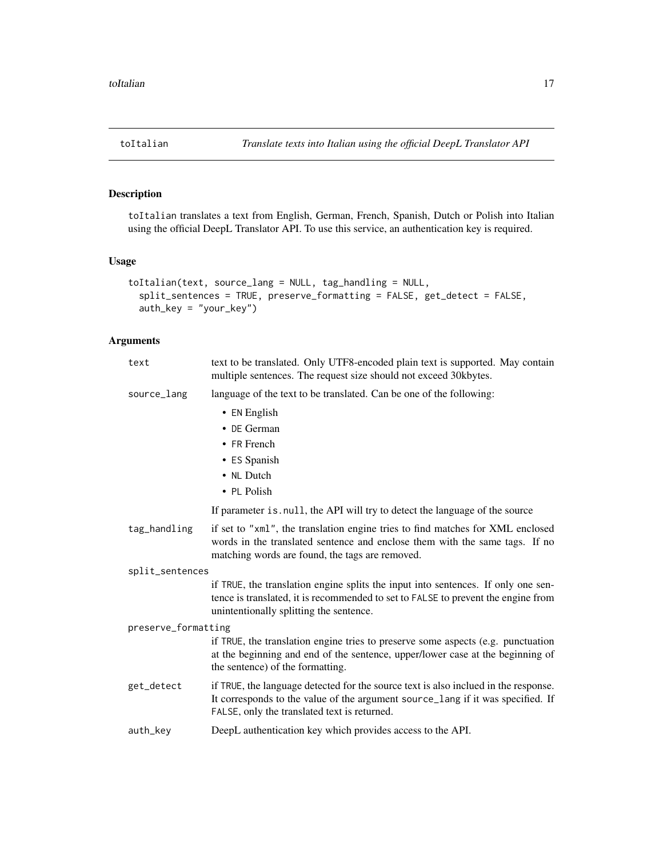<span id="page-16-0"></span>

toItalian translates a text from English, German, French, Spanish, Dutch or Polish into Italian using the official DeepL Translator API. To use this service, an authentication key is required.

## Usage

```
toItalian(text, source_lang = NULL, tag_handling = NULL,
  split_sentences = TRUE, preserve_formatting = FALSE, get_detect = FALSE,
  auth_key = "your_key")
```

| text                | text to be translated. Only UTF8-encoded plain text is supported. May contain<br>multiple sentences. The request size should not exceed 30kbytes.                                                                      |
|---------------------|------------------------------------------------------------------------------------------------------------------------------------------------------------------------------------------------------------------------|
| source_lang         | language of the text to be translated. Can be one of the following:                                                                                                                                                    |
|                     | • EN English                                                                                                                                                                                                           |
|                     | • DE German                                                                                                                                                                                                            |
|                     | • FR French                                                                                                                                                                                                            |
|                     | • ES Spanish                                                                                                                                                                                                           |
|                     | • NL Dutch                                                                                                                                                                                                             |
|                     | • PL Polish                                                                                                                                                                                                            |
|                     | If parameter is null, the API will try to detect the language of the source                                                                                                                                            |
| tag_handling        | if set to "xml", the translation engine tries to find matches for XML enclosed<br>words in the translated sentence and enclose them with the same tags. If no<br>matching words are found, the tags are removed.       |
| split_sentences     |                                                                                                                                                                                                                        |
|                     | if TRUE, the translation engine splits the input into sentences. If only one sen-<br>tence is translated, it is recommended to set to FALSE to prevent the engine from<br>unintentionally splitting the sentence.      |
| preserve_formatting |                                                                                                                                                                                                                        |
|                     | if TRUE, the translation engine tries to preserve some aspects (e.g. punctuation<br>at the beginning and end of the sentence, upper/lower case at the beginning of<br>the sentence) of the formatting.                 |
| get_detect          | if TRUE, the language detected for the source text is also inclued in the response.<br>It corresponds to the value of the argument source_lang if it was specified. If<br>FALSE, only the translated text is returned. |
| auth_key            | DeepL authentication key which provides access to the API.                                                                                                                                                             |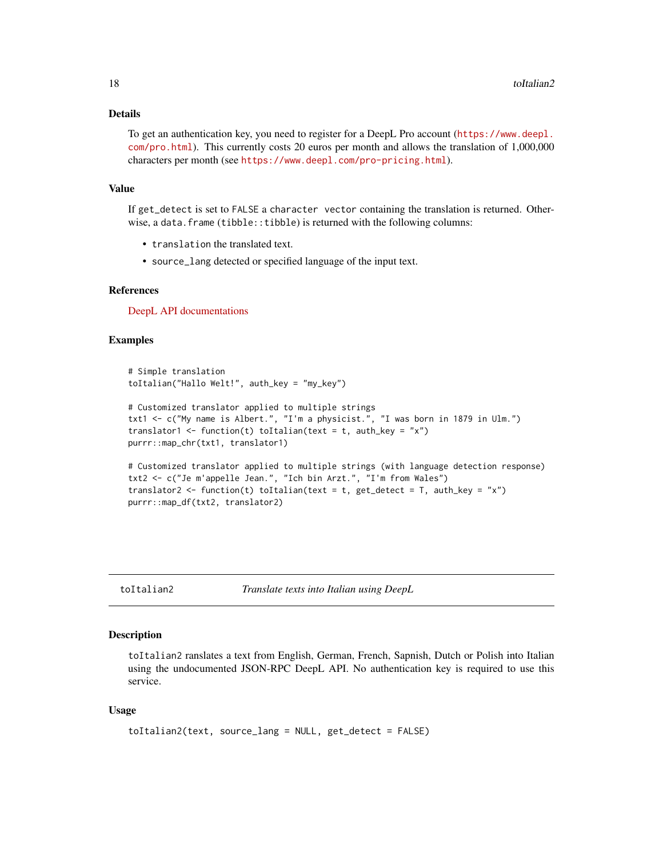## <span id="page-17-0"></span>Details

To get an authentication key, you need to register for a DeepL Pro account ([https://www.deepl.](https://www.deepl.com/pro.html) [com/pro.html](https://www.deepl.com/pro.html)). This currently costs 20 euros per month and allows the translation of 1,000,000 characters per month (see <https://www.deepl.com/pro-pricing.html>).

#### Value

If get\_detect is set to FALSE a character vector containing the translation is returned. Otherwise, a data.frame (tibble::tibble) is returned with the following columns:

- translation the translated text.
- source\_lang detected or specified language of the input text.

#### References

[DeepL API documentations](https://www.deepl.com/api.html)

#### Examples

```
# Simple translation
toItalian("Hallo Welt!", auth_key = "my_key")
# Customized translator applied to multiple strings
txt1 <- c("My name is Albert.", "I'm a physicist.", "I was born in 1879 in Ulm.")
translator1 <- function(t) toItalian(text = t, auth_key = "x")
purrr::map_chr(txt1, translator1)
# Customized translator applied to multiple strings (with language detection response)
txt2 <- c("Je m'appelle Jean.", "Ich bin Arzt.", "I'm from Wales")
translator2 <- function(t) toItalian(text = t, get_detect = T, auth_key = "x")
purrr::map_df(txt2, translator2)
```
toItalian2 *Translate texts into Italian using DeepL*

#### Description

toItalian2 ranslates a text from English, German, French, Sapnish, Dutch or Polish into Italian using the undocumented JSON-RPC DeepL API. No authentication key is required to use this service.

```
toItalian2(text, source_lang = NULL, get_detect = FALSE)
```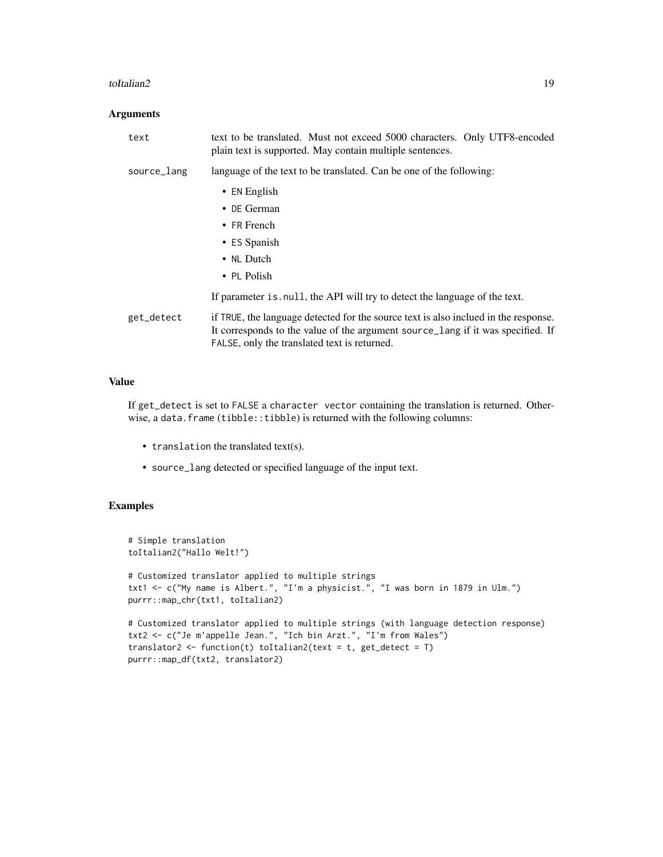#### toItalian2 19

#### Arguments

| text        | text to be translated. Must not exceed 5000 characters. Only UTF8-encoded<br>plain text is supported. May contain multiple sentences.                                                                                  |
|-------------|------------------------------------------------------------------------------------------------------------------------------------------------------------------------------------------------------------------------|
| source_lang | language of the text to be translated. Can be one of the following:                                                                                                                                                    |
|             | • EN English<br>$\bullet$ DE German                                                                                                                                                                                    |
|             | $\bullet$ FR French                                                                                                                                                                                                    |
|             | • ES Spanish                                                                                                                                                                                                           |
|             | • NL Dutch                                                                                                                                                                                                             |
|             | $\bullet$ PL Polish                                                                                                                                                                                                    |
|             | If parameter is null, the API will try to detect the language of the text.                                                                                                                                             |
| get_detect  | if TRUE, the language detected for the source text is also inclued in the response.<br>It corresponds to the value of the argument source_lang if it was specified. If<br>FALSE, only the translated text is returned. |

## Value

If get\_detect is set to FALSE a character vector containing the translation is returned. Otherwise, a data.frame (tibble::tibble) is returned with the following columns:

- translation the translated text(s).
- source\_lang detected or specified language of the input text.

```
# Simple translation
toItalian2("Hallo Welt!")
# Customized translator applied to multiple strings
txt1 <- c("My name is Albert.", "I'm a physicist.", "I was born in 1879 in Ulm.")
purrr::map_chr(txt1, toItalian2)
# Customized translator applied to multiple strings (with language detection response)
txt2 <- c("Je m'appelle Jean.", "Ich bin Arzt.", "I'm from Wales")
translator2 <- function(t) toItalian2(text = t, get_detect = T)
purrr::map_df(txt2, translator2)
```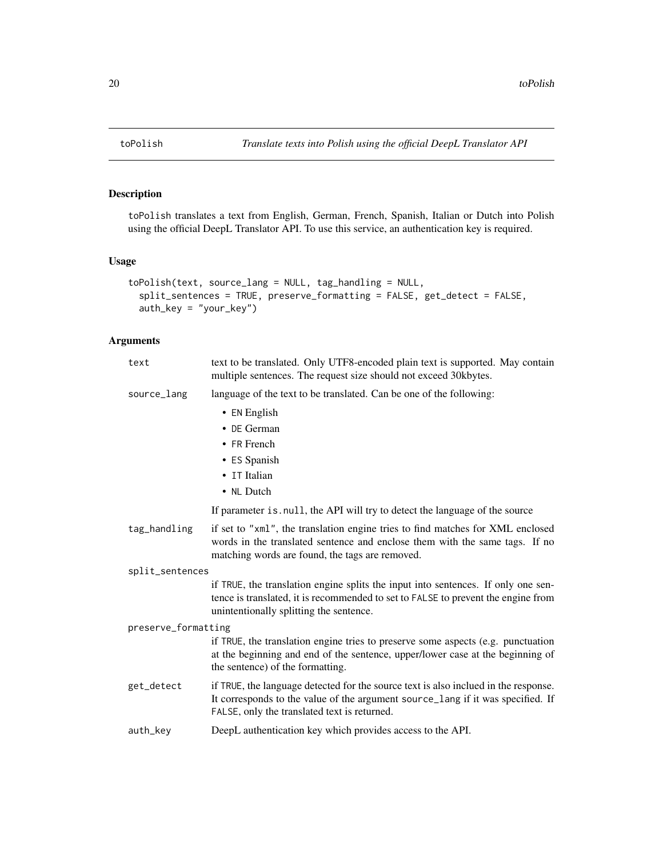toPolish translates a text from English, German, French, Spanish, Italian or Dutch into Polish using the official DeepL Translator API. To use this service, an authentication key is required.

## Usage

```
toPolish(text, source_lang = NULL, tag_handling = NULL,
  split_sentences = TRUE, preserve_formatting = FALSE, get_detect = FALSE,
  auth_key = "your_key")
```

| text                | text to be translated. Only UTF8-encoded plain text is supported. May contain<br>multiple sentences. The request size should not exceed 30kbytes.                                                                      |
|---------------------|------------------------------------------------------------------------------------------------------------------------------------------------------------------------------------------------------------------------|
| source_lang         | language of the text to be translated. Can be one of the following:                                                                                                                                                    |
|                     | $\bullet$ EN English                                                                                                                                                                                                   |
|                     | • DE German                                                                                                                                                                                                            |
|                     | • FR French                                                                                                                                                                                                            |
|                     | • ES Spanish                                                                                                                                                                                                           |
|                     | • IT Italian                                                                                                                                                                                                           |
|                     | • NL Dutch                                                                                                                                                                                                             |
|                     | If parameter is . null, the API will try to detect the language of the source                                                                                                                                          |
| tag_handling        | if set to "xml", the translation engine tries to find matches for XML enclosed<br>words in the translated sentence and enclose them with the same tags. If no<br>matching words are found, the tags are removed.       |
| split_sentences     |                                                                                                                                                                                                                        |
|                     | if TRUE, the translation engine splits the input into sentences. If only one sen-<br>tence is translated, it is recommended to set to FALSE to prevent the engine from<br>unintentionally splitting the sentence.      |
| preserve_formatting |                                                                                                                                                                                                                        |
|                     | if TRUE, the translation engine tries to preserve some aspects (e.g. punctuation<br>at the beginning and end of the sentence, upper/lower case at the beginning of<br>the sentence) of the formatting.                 |
| get_detect          | if TRUE, the language detected for the source text is also inclued in the response.<br>It corresponds to the value of the argument source_lang if it was specified. If<br>FALSE, only the translated text is returned. |
| auth_key            | DeepL authentication key which provides access to the API.                                                                                                                                                             |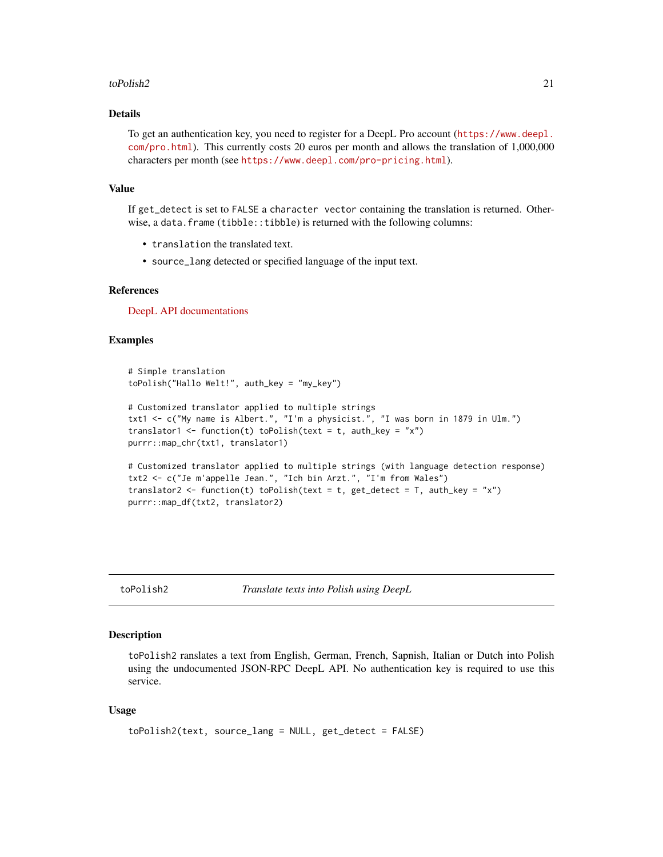#### <span id="page-20-0"></span>toPolish2 21

## Details

To get an authentication key, you need to register for a DeepL Pro account ([https://www.deepl.](https://www.deepl.com/pro.html) [com/pro.html](https://www.deepl.com/pro.html)). This currently costs 20 euros per month and allows the translation of 1,000,000 characters per month (see <https://www.deepl.com/pro-pricing.html>).

#### Value

If get\_detect is set to FALSE a character vector containing the translation is returned. Otherwise, a data.frame (tibble::tibble) is returned with the following columns:

- translation the translated text.
- source\_lang detected or specified language of the input text.

#### References

[DeepL API documentations](https://www.deepl.com/api.html)

## Examples

```
# Simple translation
toPolish("Hallo Welt!", auth_key = "my_key")
# Customized translator applied to multiple strings
txt1 <- c("My name is Albert.", "I'm a physicist.", "I was born in 1879 in Ulm.")
translator1 <- function(t) toPolish(text = t, auth_key = "x")
purrr::map_chr(txt1, translator1)
# Customized translator applied to multiple strings (with language detection response)
txt2 <- c("Je m'appelle Jean.", "Ich bin Arzt.", "I'm from Wales")
translator2 <- function(t) toPolish(text = t, get_detect = T, auth_key = "x")
purrr::map_df(txt2, translator2)
```
toPolish2 *Translate texts into Polish using DeepL*

#### Description

toPolish2 ranslates a text from English, German, French, Sapnish, Italian or Dutch into Polish using the undocumented JSON-RPC DeepL API. No authentication key is required to use this service.

```
toPolish2(text, source_lang = NULL, get_detect = FALSE)
```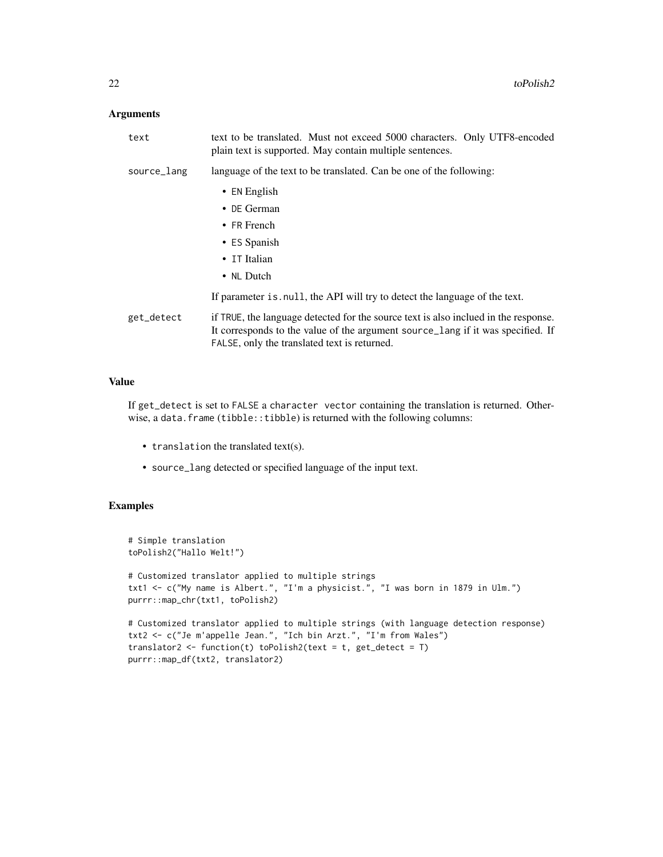## Arguments

| text        | text to be translated. Must not exceed 5000 characters. Only UTF8-encoded<br>plain text is supported. May contain multiple sentences.                                                                                  |
|-------------|------------------------------------------------------------------------------------------------------------------------------------------------------------------------------------------------------------------------|
| source_lang | language of the text to be translated. Can be one of the following:                                                                                                                                                    |
|             | • EN English                                                                                                                                                                                                           |
|             | $\bullet$ DE German                                                                                                                                                                                                    |
|             | $\bullet$ FR French                                                                                                                                                                                                    |
|             | • ES Spanish                                                                                                                                                                                                           |
|             | • IT Italian                                                                                                                                                                                                           |
|             | • NL Dutch                                                                                                                                                                                                             |
|             | If parameter is null, the API will try to detect the language of the text.                                                                                                                                             |
| get_detect  | if TRUE, the language detected for the source text is also inclued in the response.<br>It corresponds to the value of the argument source_lang if it was specified. If<br>FALSE, only the translated text is returned. |

## Value

If get\_detect is set to FALSE a character vector containing the translation is returned. Otherwise, a data.frame (tibble::tibble) is returned with the following columns:

- translation the translated text(s).
- source\_lang detected or specified language of the input text.

```
# Simple translation
toPolish2("Hallo Welt!")
# Customized translator applied to multiple strings
txt1 <- c("My name is Albert.", "I'm a physicist.", "I was born in 1879 in Ulm.")
purrr::map_chr(txt1, toPolish2)
# Customized translator applied to multiple strings (with language detection response)
txt2 <- c("Je m'appelle Jean.", "Ich bin Arzt.", "I'm from Wales")
translator2 <- function(t) toPolish2(text = t, get_detect = T)
purrr::map_df(txt2, translator2)
```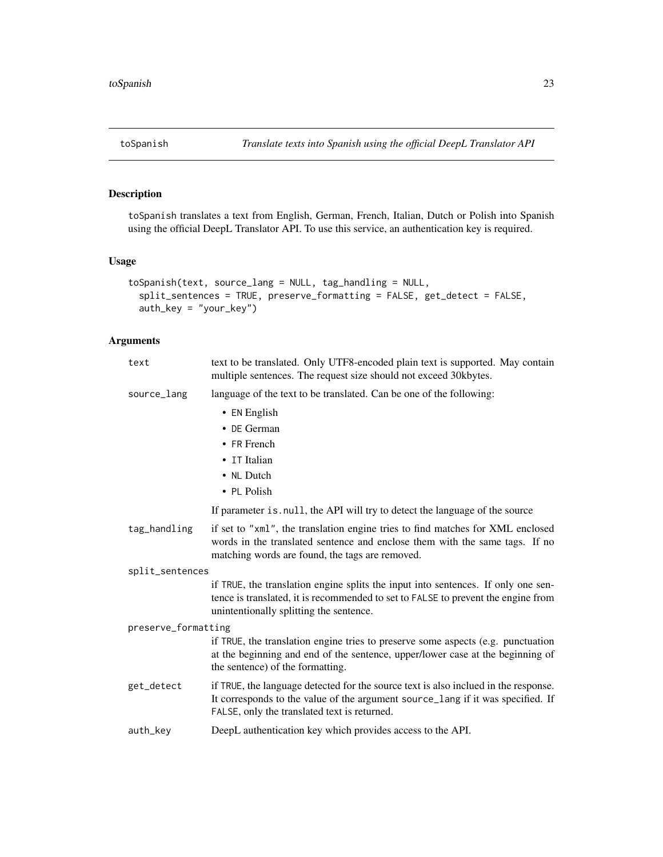<span id="page-22-0"></span>toSpanish translates a text from English, German, French, Italian, Dutch or Polish into Spanish using the official DeepL Translator API. To use this service, an authentication key is required.

## Usage

```
toSpanish(text, source_lang = NULL, tag_handling = NULL,
  split_sentences = TRUE, preserve_formatting = FALSE, get_detect = FALSE,
  auth_key = "your_key")
```

| text                | text to be translated. Only UTF8-encoded plain text is supported. May contain<br>multiple sentences. The request size should not exceed 30kbytes.                                                                      |  |
|---------------------|------------------------------------------------------------------------------------------------------------------------------------------------------------------------------------------------------------------------|--|
| source_lang         | language of the text to be translated. Can be one of the following:                                                                                                                                                    |  |
|                     | • EN English                                                                                                                                                                                                           |  |
|                     | • DE German                                                                                                                                                                                                            |  |
|                     | $\bullet$ FR French                                                                                                                                                                                                    |  |
|                     | • IT Italian                                                                                                                                                                                                           |  |
|                     | • NL Dutch                                                                                                                                                                                                             |  |
|                     | • PL Polish                                                                                                                                                                                                            |  |
|                     | If parameter is null, the API will try to detect the language of the source                                                                                                                                            |  |
| tag_handling        | if set to "xml", the translation engine tries to find matches for XML enclosed<br>words in the translated sentence and enclose them with the same tags. If no<br>matching words are found, the tags are removed.       |  |
| split_sentences     |                                                                                                                                                                                                                        |  |
|                     | if TRUE, the translation engine splits the input into sentences. If only one sen-<br>tence is translated, it is recommended to set to FALSE to prevent the engine from<br>unintentionally splitting the sentence.      |  |
| preserve_formatting |                                                                                                                                                                                                                        |  |
|                     | if TRUE, the translation engine tries to preserve some aspects (e.g. punctuation<br>at the beginning and end of the sentence, upper/lower case at the beginning of<br>the sentence) of the formatting.                 |  |
| get_detect          | if TRUE, the language detected for the source text is also inclued in the response.<br>It corresponds to the value of the argument source_lang if it was specified. If<br>FALSE, only the translated text is returned. |  |
| auth_key            | DeepL authentication key which provides access to the API.                                                                                                                                                             |  |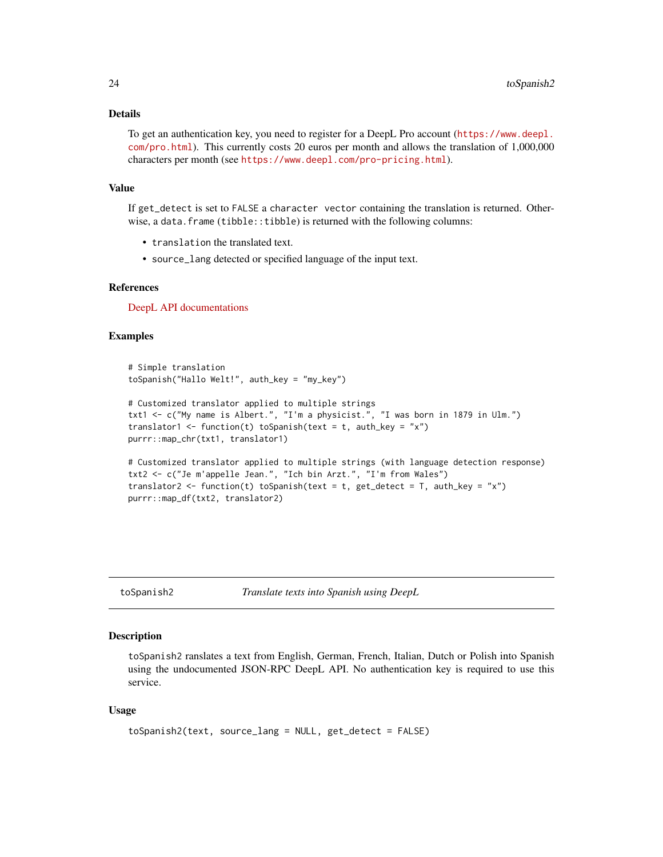#### <span id="page-23-0"></span>Details

To get an authentication key, you need to register for a DeepL Pro account ([https://www.deepl.](https://www.deepl.com/pro.html) [com/pro.html](https://www.deepl.com/pro.html)). This currently costs 20 euros per month and allows the translation of 1,000,000 characters per month (see <https://www.deepl.com/pro-pricing.html>).

#### Value

If get\_detect is set to FALSE a character vector containing the translation is returned. Otherwise, a data.frame (tibble::tibble) is returned with the following columns:

- translation the translated text.
- source\_lang detected or specified language of the input text.

#### References

[DeepL API documentations](https://www.deepl.com/api.html)

#### Examples

```
# Simple translation
toSpanish("Hallo Welt!", auth_key = "my_key")
```

```
# Customized translator applied to multiple strings
txt1 <- c("My name is Albert.", "I'm a physicist.", "I was born in 1879 in Ulm.")
translator1 <- function(t) toSpanish(text = t, auth_key = "x")
purrr::map_chr(txt1, translator1)
```

```
# Customized translator applied to multiple strings (with language detection response)
txt2 <- c("Je m'appelle Jean.", "Ich bin Arzt.", "I'm from Wales")
translator2 <- function(t) toSpanish(text = t, get_detect = T, auth_key = "x")
purrr::map_df(txt2, translator2)
```
toSpanish2 *Translate texts into Spanish using DeepL*

#### Description

toSpanish2 ranslates a text from English, German, French, Italian, Dutch or Polish into Spanish using the undocumented JSON-RPC DeepL API. No authentication key is required to use this service.

```
toSpanish2(text, source_lang = NULL, get_detect = FALSE)
```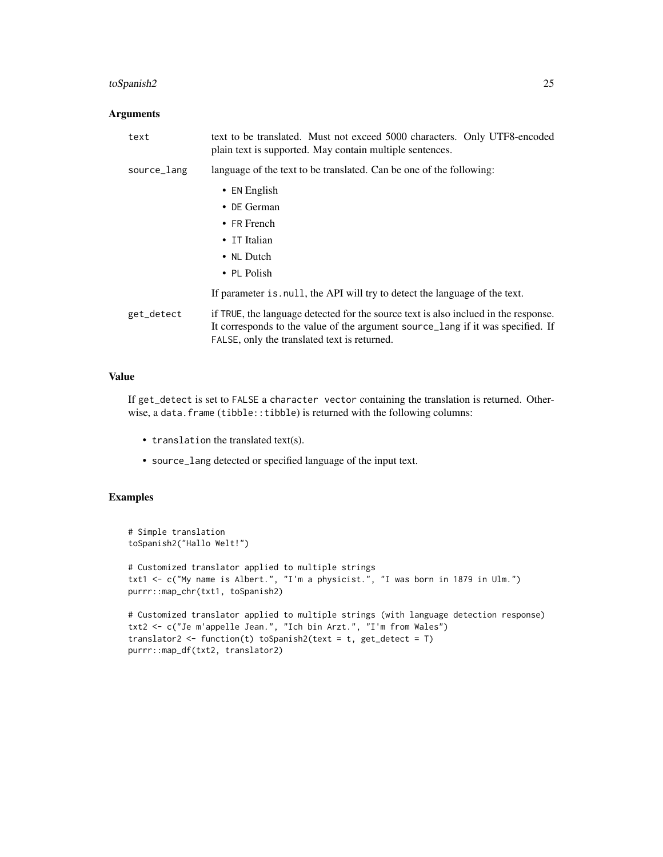## toSpanish2 25

## Arguments

| text        | text to be translated. Must not exceed 5000 characters. Only UTF8-encoded<br>plain text is supported. May contain multiple sentences.                                                                                  |
|-------------|------------------------------------------------------------------------------------------------------------------------------------------------------------------------------------------------------------------------|
| source_lang | language of the text to be translated. Can be one of the following:                                                                                                                                                    |
|             | $\bullet$ EN English                                                                                                                                                                                                   |
|             | $\bullet$ DE German                                                                                                                                                                                                    |
|             | • FR French                                                                                                                                                                                                            |
|             | • IT Italian                                                                                                                                                                                                           |
|             | • NL Dutch                                                                                                                                                                                                             |
|             | $\cdot$ PL Polish                                                                                                                                                                                                      |
|             | If parameter is null, the API will try to detect the language of the text.                                                                                                                                             |
| get_detect  | if TRUE, the language detected for the source text is also inclued in the response.<br>It corresponds to the value of the argument source lang if it was specified. If<br>FALSE, only the translated text is returned. |

## Value

If get\_detect is set to FALSE a character vector containing the translation is returned. Otherwise, a data.frame (tibble::tibble) is returned with the following columns:

- translation the translated text(s).
- source\_lang detected or specified language of the input text.

```
# Simple translation
toSpanish2("Hallo Welt!")
# Customized translator applied to multiple strings
txt1 <- c("My name is Albert.", "I'm a physicist.", "I was born in 1879 in Ulm.")
purrr::map_chr(txt1, toSpanish2)
# Customized translator applied to multiple strings (with language detection response)
txt2 <- c("Je m'appelle Jean.", "Ich bin Arzt.", "I'm from Wales")
translator2 <- function(t) toSpanish2(text = t, get_detect = T)
purrr::map_df(txt2, translator2)
```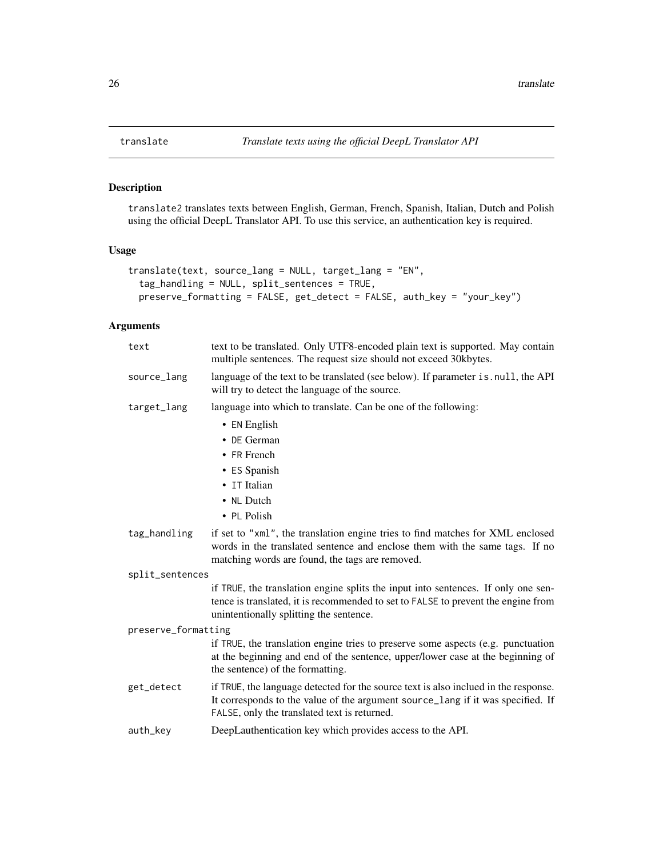translate2 translates texts between English, German, French, Spanish, Italian, Dutch and Polish using the official DeepL Translator API. To use this service, an authentication key is required.

## Usage

```
translate(text, source_lang = NULL, target_lang = "EN",
 tag_handling = NULL, split_sentences = TRUE,
 preserve_formatting = FALSE, get_detect = FALSE, auth_key = "your_key")
```

| text                | text to be translated. Only UTF8-encoded plain text is supported. May contain<br>multiple sentences. The request size should not exceed 30kbytes.                                                                      |
|---------------------|------------------------------------------------------------------------------------------------------------------------------------------------------------------------------------------------------------------------|
| source_lang         | language of the text to be translated (see below). If parameter is . null, the API<br>will try to detect the language of the source.                                                                                   |
| target_lang         | language into which to translate. Can be one of the following:                                                                                                                                                         |
|                     | $\bullet$ EN English                                                                                                                                                                                                   |
|                     | • DE German                                                                                                                                                                                                            |
|                     | • FR French                                                                                                                                                                                                            |
|                     | • ES Spanish                                                                                                                                                                                                           |
|                     | • IT Italian                                                                                                                                                                                                           |
|                     | • NL Dutch                                                                                                                                                                                                             |
|                     | • PL Polish                                                                                                                                                                                                            |
| tag_handling        | if set to "xml", the translation engine tries to find matches for XML enclosed<br>words in the translated sentence and enclose them with the same tags. If no<br>matching words are found, the tags are removed.       |
| split_sentences     |                                                                                                                                                                                                                        |
|                     | if TRUE, the translation engine splits the input into sentences. If only one sen-<br>tence is translated, it is recommended to set to FALSE to prevent the engine from<br>unintentionally splitting the sentence.      |
| preserve_formatting |                                                                                                                                                                                                                        |
|                     | if TRUE, the translation engine tries to preserve some aspects (e.g. punctuation<br>at the beginning and end of the sentence, upper/lower case at the beginning of<br>the sentence) of the formatting.                 |
| get_detect          | if TRUE, the language detected for the source text is also inclued in the response.<br>It corresponds to the value of the argument source_lang if it was specified. If<br>FALSE, only the translated text is returned. |
| auth_key            | DeepLauthentication key which provides access to the API.                                                                                                                                                              |
|                     |                                                                                                                                                                                                                        |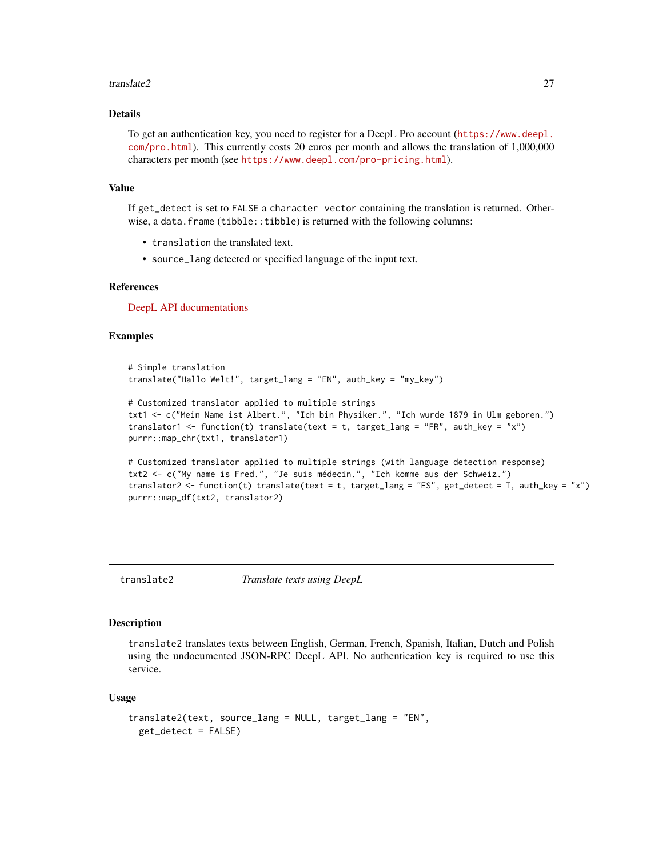#### <span id="page-26-0"></span>translate2 27 27

## Details

To get an authentication key, you need to register for a DeepL Pro account ([https://www.deepl.](https://www.deepl.com/pro.html) [com/pro.html](https://www.deepl.com/pro.html)). This currently costs 20 euros per month and allows the translation of 1,000,000 characters per month (see <https://www.deepl.com/pro-pricing.html>).

#### Value

If get\_detect is set to FALSE a character vector containing the translation is returned. Otherwise, a data.frame (tibble::tibble) is returned with the following columns:

- translation the translated text.
- source\_lang detected or specified language of the input text.

## References

[DeepL API documentations](https://www.deepl.com/api.html)

#### Examples

```
# Simple translation
translate("Hallo Welt!", target_lang = "EN", auth_key = "my_key")
# Customized translator applied to multiple strings
```

```
txt1 <- c("Mein Name ist Albert.", "Ich bin Physiker.", "Ich wurde 1879 in Ulm geboren.")
translator1 <- function(t) translate(text = t, target_lang = "FR", auth_key = "x")
purrr::map_chr(txt1, translator1)
```

```
# Customized translator applied to multiple strings (with language detection response)
txt2 <- c("My name is Fred.", "Je suis médecin.", "Ich komme aus der Schweiz.")
translator2 <- function(t) translate(text = t, target_lang = "ES", get_detect = T, auth_key = "x")
purrr::map_df(txt2, translator2)
```
translate2 *Translate texts using DeepL*

## Description

translate2 translates texts between English, German, French, Spanish, Italian, Dutch and Polish using the undocumented JSON-RPC DeepL API. No authentication key is required to use this service.

```
translate2(text, source_lang = NULL, target_lang = "EN",
  get_detect = FALSE)
```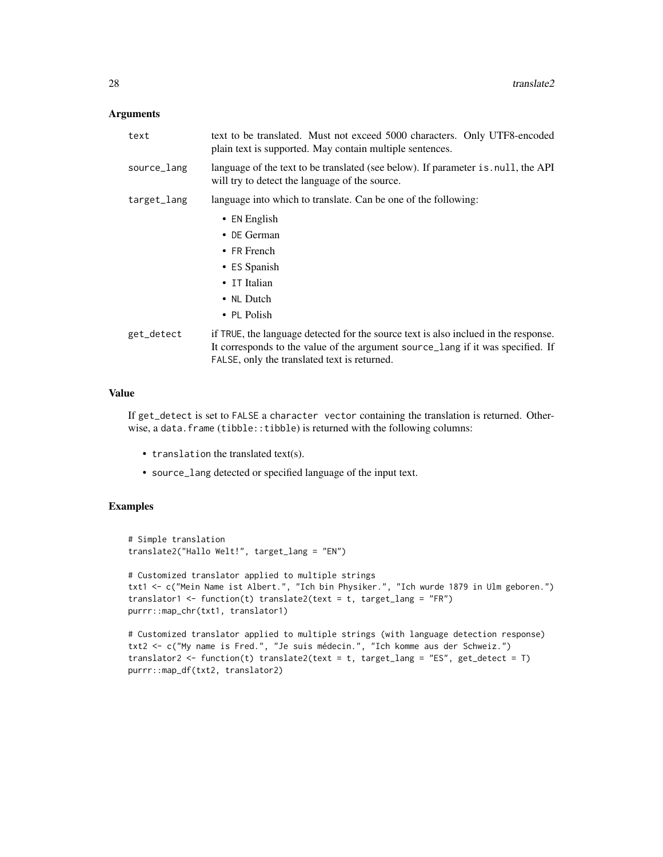### Arguments

| text        | text to be translated. Must not exceed 5000 characters. Only UTF8-encoded<br>plain text is supported. May contain multiple sentences.                                                                                  |
|-------------|------------------------------------------------------------------------------------------------------------------------------------------------------------------------------------------------------------------------|
| source_lang | language of the text to be translated (see below). If parameter is null, the API<br>will try to detect the language of the source.                                                                                     |
| target_lang | language into which to translate. Can be one of the following:                                                                                                                                                         |
|             | $\bullet$ EN English                                                                                                                                                                                                   |
|             | $\bullet$ DE German                                                                                                                                                                                                    |
|             | $\bullet$ FR French                                                                                                                                                                                                    |
|             | • ES Spanish                                                                                                                                                                                                           |
|             | • IT Italian                                                                                                                                                                                                           |
|             | • NL Dutch                                                                                                                                                                                                             |
|             | $\cdot$ PL Polish                                                                                                                                                                                                      |
| get_detect  | if TRUE, the language detected for the source text is also inclued in the response.<br>It corresponds to the value of the argument source lang if it was specified. If<br>FALSE, only the translated text is returned. |

## Value

If get\_detect is set to FALSE a character vector containing the translation is returned. Otherwise, a data.frame (tibble::tibble) is returned with the following columns:

- translation the translated text(s).
- source\_lang detected or specified language of the input text.

```
# Simple translation
translate2("Hallo Welt!", target_lang = "EN")
# Customized translator applied to multiple strings
txt1 <- c("Mein Name ist Albert.", "Ich bin Physiker.", "Ich wurde 1879 in Ulm geboren.")
translator1 <- function(t) translate2(text = t, target_lang = "FR")
purrr::map_chr(txt1, translator1)
# Customized translator applied to multiple strings (with language detection response)
```

```
txt2 <- c("My name is Fred.", "Je suis médecin.", "Ich komme aus der Schweiz.")
translator2 <- function(t) translate2(text = t, target_lang = "ES", get_detect = T)
purrr::map_df(txt2, translator2)
```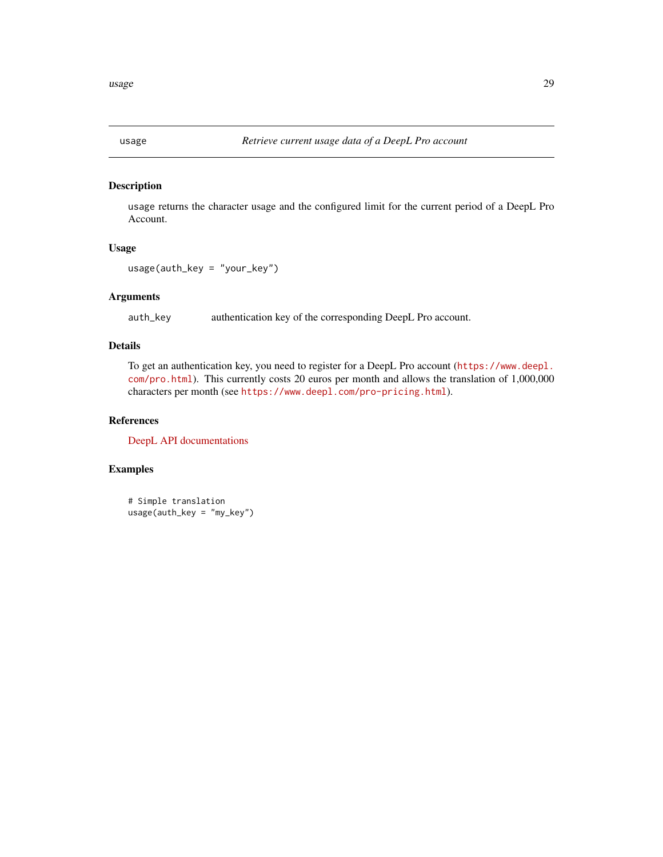<span id="page-28-0"></span>

usage returns the character usage and the configured limit for the current period of a DeepL Pro Account.

#### Usage

```
usage(auth_key = "your_key")
```
## Arguments

auth\_key authentication key of the corresponding DeepL Pro account.

## Details

To get an authentication key, you need to register for a DeepL Pro account ([https://www.deepl.](https://www.deepl.com/pro.html) [com/pro.html](https://www.deepl.com/pro.html)). This currently costs 20 euros per month and allows the translation of 1,000,000 characters per month (see <https://www.deepl.com/pro-pricing.html>).

## References

[DeepL API documentations](https://www.deepl.com/api.html)

## Examples

# Simple translation usage(auth\_key = "my\_key")